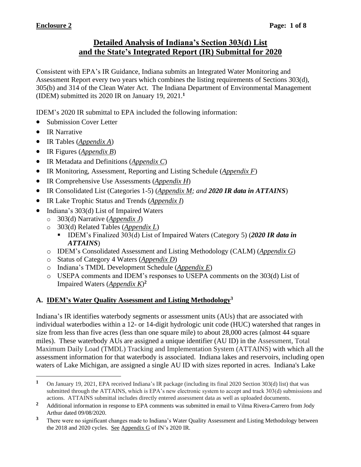## **Detailed Analysis of Indiana's Section 303(d) List and the State's Integrated Report (IR) Submittal for 2020**

Consistent with EPA's IR Guidance, Indiana submits an Integrated Water Monitoring and Assessment Report every two years which combines the listing requirements of Sections 303(d), 305(b) and 314 of the Clean Water Act. The Indiana Department of Environmental Management (IDEM) submitted its 2020 IR on January 19, 2021. **1**

IDEM's 2020 IR submittal to EPA included the following information:

- Submission Cover Letter
- IR Narrative
- IR Tables (*Appendix A*)
- IR Figures (*Appendix B*)
- IR Metadata and Definitions (*Appendix C*)
- IR Monitoring, Assessment, Reporting and Listing Schedule (*Appendix F*)
- IR Comprehensive Use Assessments (*Appendix H*)
- IR Consolidated List (Categories 1-5) (*Appendix M; and 2020 IR data in ATTAINS*)
- IR Lake Trophic Status and Trends (*Appendix I*)
- Indiana's 303(d) List of Impaired Waters
	- o 303(d) Narrative (*Appendix J*)
	- o 303(d) Related Tables (*Appendix L*)
		- IDEM's Finalized 303(d) List of Impaired Waters (Category 5) (*2020 IR data in ATTAINS*)
	- o IDEM's Consolidated Assessment and Listing Methodology (CALM) (*Appendix G*)
	- o Status of Category 4 Waters (*Appendix D*)
	- o Indiana's TMDL Development Schedule (*Appendix E*)
	- o USEPA comments and IDEM's responses to USEPA comments on the 303(d) List of Impaired Waters (*Appendix K*) **2**

# **A. IDEM's Water Quality Assessment and Listing Methodology<sup>3</sup>**

Indiana's IR identifies waterbody segments or assessment units (AUs) that are associated with individual waterbodies within a 12- or 14-digit hydrologic unit code (HUC) watershed that ranges in size from less than five acres (less than one square mile) to about 28,000 acres (almost 44 square miles). These waterbody AUs are assigned a unique identifier (AU ID) in the Assessment, Total Maximum Daily Load (TMDL) Tracking and Implementation System (ATTAINS) with which all the assessment information for that waterbody is associated. Indiana lakes and reservoirs, including open waters of Lake Michigan, are assigned a single AU ID with sizes reported in acres. Indiana's Lake

**<sup>1</sup>** On January 19, 2021, EPA received Indiana's IR package (including its final 2020 Section 303(d) list) that was submitted through the ATTAINS, which is EPA's new electronic system to accept and track 303(d) submissions and actions. ATTAINS submittal includes directly entered assessment data as well as uploaded documents.

<sup>&</sup>lt;sup>2</sup> Additional information in response to EPA comments was submitted in email to Vilma Rivera-Carrero from Jody Arthur dated 09/08/2020.

**<sup>3</sup>** There were no significant changes made to Indiana's Water Quality Assessment and Listing Methodology between the 2018 and 2020 cycles. See Appendix G of IN's 2020 IR.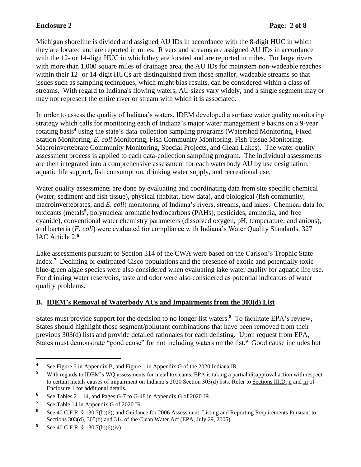Michigan shoreline is divided and assigned AU IDs in accordance with the 8-digit HUC in which they are located and are reported in miles. Rivers and streams are assigned AU IDs in accordance with the 12- or 14-digit HUC in which they are located and are reported in miles. For large rivers with more than 1,000 square miles of drainage area, the AU IDs for mainstem non-wadeable reaches within their 12- or 14-digit HUCs are distinguished from those smaller, wadeable streams so that issues such as sampling techniques, which might bias results, can be considered within a class of streams. With regard to Indiana's flowing waters, AU sizes vary widely, and a single segment may or may not represent the entire river or stream with which it is associated.

In order to assess the quality of Indiana's waters, IDEM developed a surface water quality monitoring strategy which calls for monitoring each of Indiana's major water management 9 basins on a 9-year rotating basis**<sup>4</sup>** using the state's data-collection sampling programs (Watershed Monitoring, Fixed Station Monitoring, *E. coli* Monitoring, Fish Community Monitoring, Fish Tissue Monitoring, Macroinvertebrate Community Monitoring, Special Projects, and Clean Lakes). The water quality assessment process is applied to each data-collection sampling program. The individual assessments are then integrated into a comprehensive assessment for each waterbody AU by use designation: aquatic life support, fish consumption, drinking water supply, and recreational use.

Water quality assessments are done by evaluating and coordinating data from site specific chemical (water, sediment and fish tissue), physical (habitat, flow data), and biological (fish community, macroinvertebrates, and *E. coli*) monitoring of Indiana's rivers, streams, and lakes. Chemical data for toxicants (metals**<sup>5</sup>** , polynuclear aromatic hydrocarbons (PAHs), pesticides, ammonia, and free cyanide), conventional water chemistry parameters (dissolved oxygen, pH, temperature, and anions), and bacteria (*E. coli*) were evaluated for compliance with Indiana's Water Quality Standards, 327 IAC Article 2. **6**

Lake assessments pursuant to Section 314 of the CWA were based on the Carlson's Trophic State Index.<sup>7</sup> Declining or extirpated Cisco populations and the presence of exotic and potentially toxic blue-green algae species were also considered when evaluating lake water quality for aquatic life use. For drinking water reservoirs, taste and odor were also considered as potential indicators of water quality problems.

## **B. IDEM's Removal of Waterbody AUs and Impairments from the 303(d) List**

States must provide support for the decision to no longer list waters.<sup>8</sup> To facilitate EPA's review, States should highlight those segment/pollutant combinations that have been removed from their previous 303(d) lists and provide detailed rationales for each delisting. Upon request from EPA, States must demonstrate "good cause" for not including waters on the list.**<sup>9</sup>** Good cause includes but

**<sup>4</sup>** See Figure 6 in Appendix B, and Figure 1 in Appendix G of the 2020 Indiana IR.<br>With regards to IDEM's WO assessments for metal toxicants. EPA is taking a par-

With regards to IDEM's WO assessments for metal toxicants, EPA is taking a partial disapproval action with respect to certain metals causes of impairment on Indiana's 2020 Section 303(d) lists. Refer to Sections III.D. ii and iii of Enclosure 1 for additional details.

 $\frac{6}{7}$  See Tables  $2 - 14$ , and Pages G-7 to G-48 in Appendix G of 2020 IR.

**<sup>7</sup>** See Table 14 in Appendix G of 2020 IR.

**<sup>8</sup>** See 40 C.F.R. § 130.7(b)(6); and Guidance for 2006 Assessment, Listing and Reporting Requirements Pursuant to Sections 303(d), 305(b) and 314 of the Clean Water Act (EPA, July 29, 2005).

**<sup>9</sup>** See 40 C.F.R. § 130.7(b)(6)(iv)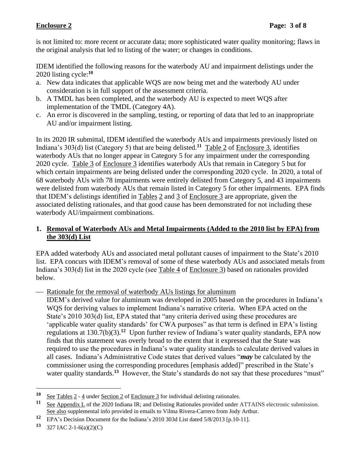is not limited to: more recent or accurate data; more sophisticated water quality monitoring; flaws in the original analysis that led to listing of the water; or changes in conditions.

IDEM identified the following reasons for the waterbody AU and impairment delistings under the 2020 listing cycle: **10**

- a. New data indicates that applicable WQS are now being met and the waterbody AU under consideration is in full support of the assessment criteria.
- b. A TMDL has been completed, and the waterbody AU is expected to meet WQS after implementation of the TMDL (Category 4A).
- c. An error is discovered in the sampling, testing, or reporting of data that led to an inappropriate AU and/or impairment listing.

In its 2020 IR submittal, IDEM identified the waterbody AUs and impairments previously listed on Indiana's 303(d) list (Category 5) that are being delisted.**<sup>11</sup>** Table 2 of Enclosure 3, identifies waterbody AUs that no longer appear in Category 5 for any impairment under the corresponding 2020 cycle. Table 3 of Enclosure 3 identifies waterbody AUs that remain in Category 5 but for which certain impairments are being delisted under the corresponding 2020 cycle. In 2020, a total of 68 waterbody AUs with 78 impairments were entirely delisted from Category 5, and 43 impairments were delisted from waterbody AUs that remain listed in Category 5 for other impairments. EPA finds that IDEM's delistings identified in Tables 2 and 3 of Enclosure 3 are appropriate, given the associated delisting rationales, and that good cause has been demonstrated for not including these waterbody AU/impairment combinations.

### **1. Removal of Waterbody AUs and Metal Impairments (Added to the 2010 list by EPA) from the 303(d) List**

EPA added waterbody AUs and associated metal pollutant causes of impairment to the State's 2010 list. EPA concurs with IDEM's removal of some of these waterbody AUs and associated metals from Indiana's 303(d) list in the 2020 cycle (see Table 4 of Enclosure 3) based on rationales provided below.

— Rationale for the removal of waterbody AUs listings for aluminum

IDEM's derived value for aluminum was developed in 2005 based on the procedures in Indiana's WQS for deriving values to implement Indiana's narrative criteria. When EPA acted on the State's 2010 303(d) list, EPA stated that "any criteria derived using these procedures are 'applicable water quality standards' for CWA purposes" as that term is defined in EPA's listing regulations at 130.7(b)(3).**<sup>12</sup>** Upon further review of Indiana's water quality standards, EPA now finds that this statement was overly broad to the extent that it expressed that the State was required to use the procedures in Indiana's water quality standards to calculate derived values in all cases. Indiana's Administrative Code states that derived values "*may* be calculated by the commissioner using the corresponding procedures [emphasis added]" prescribed in the State's water quality standards.<sup>13</sup> However, the State's standards do not say that these procedures "must"

<sup>10</sup> See Tables  $2 - 4$  under Section 2 of Enclosure 3 for individual delisting rationales.<br>11 See Appendix L of the 2020 Indiana IP: and Delisting Patienales provided under the

See Appendix L of the 2020 Indiana IR; and Delisting Rationales provided under ATTAINS electronic submission. See also supplemental info provided in emails to Vilma Rivera-Carrero from Jody Arthur.

**<sup>12</sup>** EPA's Decision Document for the Indiana's 2010 303d List dated 5/8/2013 [p.10-11].

**<sup>13</sup>** 327 IAC 2-1-6(a)(2)(C)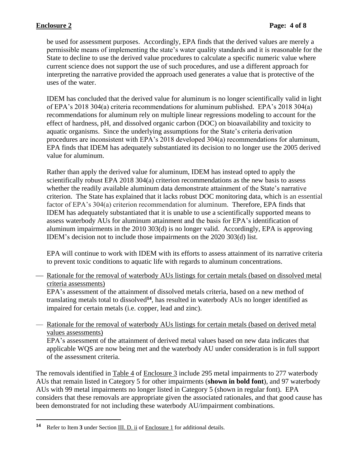be used for assessment purposes. Accordingly, EPA finds that the derived values are merely a permissible means of implementing the state's water quality standards and it is reasonable for the State to decline to use the derived value procedures to calculate a specific numeric value where current science does not support the use of such procedures, and use a different approach for interpreting the narrative provided the approach used generates a value that is protective of the uses of the water.

IDEM has concluded that the derived value for aluminum is no longer scientifically valid in light of EPA's 2018 304(a) criteria recommendations for aluminum published. EPA's 2018 304(a) recommendations for aluminum rely on multiple linear regressions modeling to account for the effect of hardness, pH, and dissolved organic carbon (DOC) on bioavailability and toxicity to aquatic organisms. Since the underlying assumptions for the State's criteria derivation procedures are inconsistent with EPA's 2018 developed 304(a) recommendations for aluminum, EPA finds that IDEM has adequately substantiated its decision to no longer use the 2005 derived value for aluminum.

Rather than apply the derived value for aluminum, IDEM has instead opted to apply the scientifically robust EPA 2018 304(a) criterion recommendations as the new basis to assess whether the readily available aluminum data demonstrate attainment of the State's narrative criterion. The State has explained that it lacks robust DOC monitoring data, which is an essential factor of EPA's 304(a) criterion recommendation for aluminum. Therefore, EPA finds that IDEM has adequately substantiated that it is unable to use a scientifically supported means to assess waterbody AUs for aluminum attainment and the basis for EPA's identification of aluminum impairments in the 2010 303(d) is no longer valid. Accordingly, EPA is approving IDEM's decision not to include those impairments on the 2020 303(d) list.

EPA will continue to work with IDEM with its efforts to assess attainment of its narrative criteria to prevent toxic conditions to aquatic life with regards to aluminum concentrations.

— Rationale for the removal of waterbody AUs listings for certain metals (based on dissolved metal criteria assessments)

EPA's assessment of the attainment of dissolved metals criteria, based on a new method of translating metals total to dissolved**<sup>14</sup>** , has resulted in waterbody AUs no longer identified as impaired for certain metals (i.e. copper, lead and zinc).

— Rationale for the removal of waterbody AUs listings for certain metals (based on derived metal values assessments)

EPA's assessment of the attainment of derived metal values based on new data indicates that applicable WQS are now being met and the waterbody AU under consideration is in full support of the assessment criteria.

The removals identified in Table 4 of Enclosure 3 include 295 metal impairments to 277 waterbody AUs that remain listed in Category 5 for other impairments (**shown in bold font**), and 97 waterbody AUs with 99 metal impairments no longer listed in Category 5 (shown in regular font). EPA considers that these removals are appropriate given the associated rationales, and that good cause has been demonstrated for not including these waterbody AU/impairment combinations.

**<sup>14</sup>** Refer to Item **3** under Section III. D. ii of Enclosure 1 for additional details.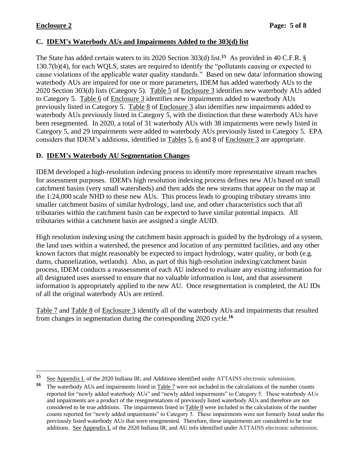### **C. IDEM's Waterbody AUs and Impairments Added to the 303(d) list**

The State has added certain waters to its 2020 Section 303(d) list.**<sup>15</sup>** As provided in 40 C.F.R. § 130.7(b)(4), for each WQLS, states are required to identify the "pollutants causing or expected to cause violations of the applicable water quality standards." Based on new data/ information showing waterbody AUs are impaired for one or more parameters, IDEM has added waterbody AUs to the 2020 Section 303(d) lists (Category 5). Table 5 of Enclosure 3 identifies new waterbody AUs added to Category 5. Table 6 of Enclosure 3 identifies new impairments added to waterbody AUs previously listed in Category 5. Table 8 of Enclosure 3 also identifies new impairments added to waterbody AUs previously listed in Category 5, with the distinction that these waterbody AUs have been resegmented. In 2020, a total of 31 waterbody AUs with 38 impairments were newly listed in Category 5, and 29 impairments were added to waterbody AUs previously listed in Category 5. EPA considers that IDEM's additions, identified in Tables 5, 6 and 8 of Enclosure 3 are appropriate.

### **D. IDEM's Waterbody AU Segmentation Changes**

IDEM developed a high-resolution indexing process to identify more representative stream reaches for assessment purposes. IDEM's high resolution indexing process defines new AUs based on small catchment basins (very small watersheds) and then adds the new streams that appear on the map at the 1:24,000 scale NHD to these new AUs. This process leads to grouping tributary streams into smaller catchment basins of similar hydrology, land use, and other characteristics such that all tributaries within the catchment basin can be expected to have similar potential impacts. All tributaries within a catchment basin are assigned a single AUID.

High resolution indexing using the catchment basin approach is guided by the hydrology of a system, the land uses within a watershed, the presence and location of any permitted facilities, and any other known factors that might reasonably be expected to impact hydrology, water quality, or both (e.g. dams, channelization, wetlands). Also, as part of this high-resolution indexing/catchment basin process, IDEM conducts a reassessment of each AU indexed to evaluate any existing information for all designated uses assessed to ensure that no valuable information is lost, and that assessment information is appropriately applied to the new AU. Once resegmentation is completed, the AU IDs of all the original waterbody AUs are retired.

Table 7 and Table 8 of Enclosure 3 identify all of the waterbody AUs and impairments that resulted from changes in segmentation during the corresponding 2020 cycle. **16**

<sup>15</sup> See Appendix L of the 2020 Indiana IR; and Additions identified under ATTAINS electronic submission.

**<sup>16</sup>** The waterbody AUs and impairments listed in Table 7 were not included in the calculations of the number counts reported for "newly added waterbody AUs" and "newly added impairments" to Category 5. These waterbody AUs and impairments are a product of the resegmentations of previously listed waterbody AUs and therefore are not considered to be true additions. The impairments listed in Table 8 were included in the calculations of the number counts reported for "newly added impairments" to Category 5. These impairments were not formerly listed under the previously listed waterbody AUs that were resegmented. Therefore, these impairments are considered to be true additions. See Appendix L of the 2020 Indiana IR; and AU info identified under ATTAINS electronic submission.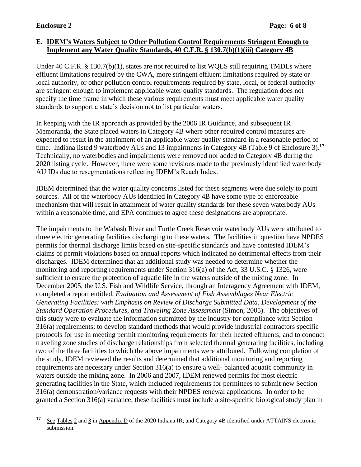### **E. IDEM's Waters Subject to Other Pollution Control Requirements Stringent Enough to Implement any Water Quality Standards, 40 C.F.R. § 130.7(b)(1)(iii) Category 4B**

Under 40 C.F.R. § 130.7(b)(1), states are not required to list WOLS still requiring TMDLs where effluent limitations required by the CWA, more stringent effluent limitations required by state or local authority, or other pollution control requirements required by state, local, or federal authority are stringent enough to implement applicable water quality standards. The regulation does not specify the time frame in which these various requirements must meet applicable water quality standards to support a state's decision not to list particular waters.

In keeping with the IR approach as provided by the 2006 IR Guidance, and subsequent IR Memoranda, the State placed waters in Category 4B where other required control measures are expected to result in the attainment of an applicable water quality standard in a reasonable period of time. Indiana listed 9 waterbody AUs and 13 impairments in Category 4B (Table 9 of Enclosure 3).<sup>17</sup> Technically, no waterbodies and impairments were removed nor added to Category 4B during the 2020 listing cycle. However, there were some revisions made to the previously identified waterbody AU IDs due to resegmentations reflecting IDEM's Reach Index.

IDEM determined that the water quality concerns listed for these segments were due solely to point sources. All of the waterbody AUs identified in Category 4B have some type of enforceable mechanism that will result in attainment of water quality standards for these seven waterbody AUs within a reasonable time, and EPA continues to agree these designations are appropriate.

The impairments to the Wabash River and Turtle Creek Reservoir waterbody AUs were attributed to three electric generating facilities discharging to these waters. The facilities in question have NPDES permits for thermal discharge limits based on site-specific standards and have contested IDEM's claims of permit violations based on annual reports which indicated no detrimental effects from their discharges. IDEM determined that an additional study was needed to determine whether the monitoring and reporting requirements under Section 316(a) of the Act, 33 U.S.C. § 1326, were sufficient to ensure the protection of aquatic life in the waters outside of the mixing zone. In December 2005, the U.S. Fish and Wildlife Service, through an Interagency Agreement with IDEM, completed a report entitled, *Evaluation and Assessment of Fish Assemblages Near Electric Generating Facilities: with Emphasis on Review of Discharge Submitted Data, Development of the Standard Operation Procedures, and Traveling Zone Assessment* (Simon, 2005). The objectives of this study were to evaluate the information submitted by the industry for compliance with Section 316(a) requirements; to develop standard methods that would provide industrial contractors specific protocols for use in meeting permit monitoring requirements for their heated effluents; and to conduct traveling zone studies of discharge relationships from selected thermal generating facilities, including two of the three facilities to which the above impairments were attributed. Following completion of the study, IDEM reviewed the results and determined that additional monitoring and reporting requirements are necessary under Section 316(a) to ensure a well- balanced aquatic community in waters outside the mixing zone. In 2006 and 2007, IDEM renewed permits for most electric generating facilities in the State, which included requirements for permittees to submit new Section 316(a) demonstration/variance requests with their NPDES renewal applications. In order to be granted a Section 316(a) variance, these facilities must include a site-specific biological study plan in

**<sup>17</sup>** See Tables 2 and 3 in Appendix D of the 2020 Indiana IR; and Category 4B identified under ATTAINS electronic submission.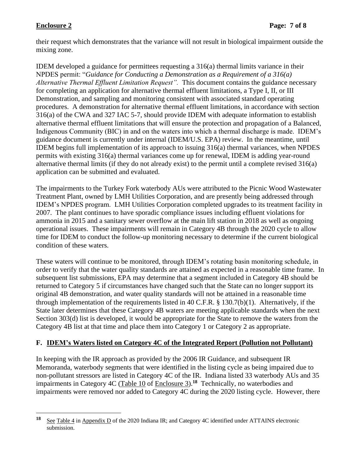their request which demonstrates that the variance will not result in biological impairment outside the mixing zone.

IDEM developed a guidance for permittees requesting a  $316(a)$  thermal limits variance in their NPDES permit: "*Guidance for Conducting a Demonstration as a Requirement of a 316(a) Alternative Thermal Effluent Limitation Request".* This document contains the guidance necessary for completing an application for alternative thermal effluent limitations, a Type I, II, or III Demonstration, and sampling and monitoring consistent with associated standard operating procedures. A demonstration for alternative thermal effluent limitations, in accordance with section 316(a) of the CWA and 327 IAC 5-7, should provide IDEM with adequate information to establish alternative thermal effluent limitations that will ensure the protection and propagation of a Balanced, Indigenous Community (BIC) in and on the waters into which a thermal discharge is made. IDEM's guidance document is currently under internal (IDEM/U.S. EPA) review. In the meantime, until IDEM begins full implementation of its approach to issuing 316(a) thermal variances, when NPDES permits with existing 316(a) thermal variances come up for renewal, IDEM is adding year-round alternative thermal limits (if they do not already exist) to the permit until a complete revised 316(a) application can be submitted and evaluated.

The impairments to the Turkey Fork waterbody AUs were attributed to the Picnic Wood Wastewater Treatment Plant, owned by LMH Utilities Corporation, and are presently being addressed through IDEM's NPDES program. LMH Utilities Corporation completed upgrades to its treatment facility in 2007. The plant continues to have sporadic compliance issues including effluent violations for ammonia in 2015 and a sanitary sewer overflow at the main lift station in 2018 as well as ongoing operational issues. These impairments will remain in Category 4B through the 2020 cycle to allow time for IDEM to conduct the follow-up monitoring necessary to determine if the current biological condition of these waters.

These waters will continue to be monitored, through IDEM's rotating basin monitoring schedule, in order to verify that the water quality standards are attained as expected in a reasonable time frame. In subsequent list submissions, EPA may determine that a segment included in Category 4B should be returned to Category 5 if circumstances have changed such that the State can no longer support its original 4B demonstration, and water quality standards will not be attained in a reasonable time through implementation of the requirements listed in 40 C.F.R. § 130.7(b)(1). Alternatively, if the State later determines that these Category 4B waters are meeting applicable standards when the next Section 303(d) list is developed, it would be appropriate for the State to remove the waters from the Category 4B list at that time and place them into Category 1 or Category 2 as appropriate.

### **F. IDEM's Waters listed on Category 4C of the Integrated Report (Pollution not Pollutant)**

In keeping with the IR approach as provided by the 2006 IR Guidance, and subsequent IR Memoranda, waterbody segments that were identified in the listing cycle as being impaired due to non-pollutant stressors are listed in Category 4C of the IR. Indiana listed 33 waterbody AUs and 35 impairments in Category 4C (Table 10 of Enclosure 3).<sup>18</sup> Technically, no waterbodies and impairments were removed nor added to Category 4C during the 2020 listing cycle. However, there

**<sup>18</sup>** See Table 4 in Appendix D of the 2020 Indiana IR; and Category 4C identified under ATTAINS electronic submission.